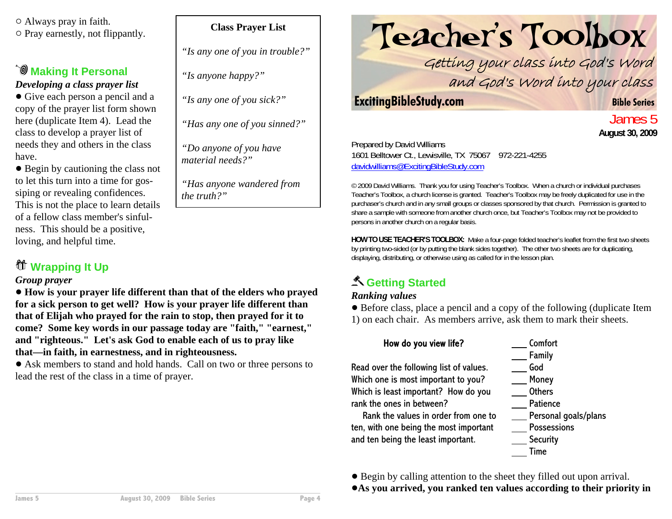$\circ$  Always pray in faith.  $\circ$  Pray earnestly, not flippantly.

#### **Making It Personal** *Developing a class prayer list*

• Give each person a pencil and a copy of the prayer list form shown here (duplicate Item 4). Lead the class to develop a prayer list of needs they and others in the class have.

• Begin by cautioning the class not to let this turn into a time for gossiping or revealing confidences. This is not the place to learn details of a fellow class member's sinfulness. This should be a positive, loving, and helpful time.

### **Wrapping It Up**

#### *Group prayer*

! **How is your prayer life different than that of the elders who prayed for a sick person to get well? How is your prayer life different than that of Elijah who prayed for the rain to stop, then prayed for it to come? Some key words in our passage today are "faith," "earnest," and "righteous." Let's ask God to enable each of us to pray like that—in faith, in earnestness, and in righteousness.** 

! Ask members to stand and hold hands. Call on two or three persons to lead the rest of the class in a time of prayer.

#### **Class Prayer List**

*"Is any one of you in trouble?"*

*"Is anyone happy?"*

*"Is any one of you sick?"*

*"Has any one of you sinned?"*

*"Do anyone of you have material needs?"*

*"Has anyone wandered from the truth?"*

# Teacher's Toolbox

Getting your class into God's Word and God's Word into your class

#### **ExcitingBibleStudy.com Bible Series**

James 5**August 30, 2009**

Prepared by David Williams 1601 Belltower Ct., Lewisville, TX 75067 972-221-4255 davidwilliams@ExcitingBibleStudy.com

© 2009 David Williams. Thank you for using Teacher's Toolbox. When a church or individual purchases Teacher's Toolbox, a church license is granted. Teacher's Toolbox may be freely duplicated for use in the purchaser's church and in any small groups or classes sponsored by that church. Permission is granted to share a sample with someone from another church once, but Teacher's Toolbox may not be provided to persons in another church on a regular basis.

**HOW TO USE TEACHER'S TOOLBOX:** Make a four-page folded teacher's leaflet from the first two sheets by printing two-sided (or by putting the blank sides together). The other two sheets are for duplicating, displaying, distributing, or otherwise using as called for in the lesson plan.

### **Getting Started**

#### *Ranking values*

! Before class, place a pencil and a copy of the following (duplicate Item 1) on each chair. As members arrive, ask them to mark their sheets.

#### How do you view life?

Read over the following list of values. Which one is most important to you? Which is least important? How do you rank the ones in between?

Rank the values in order from one toten, with one being the most important and ten being the least important.

 Comfort Family GodMoney

- **Others**
- Patience
- Personal goals/plans
- Possessions
- **Security**
- Time

! Begin by calling attention to the sheet they filled out upon arrival.

!**As you arrived, you ranked ten values according to their priority in**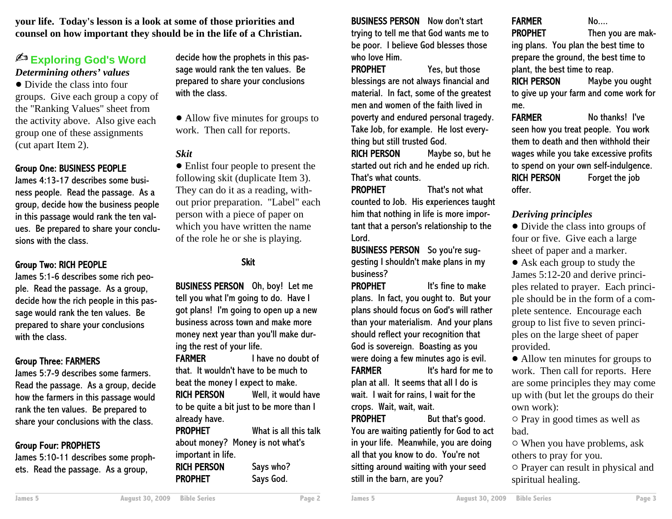**your life. Today's lesson is a look at some of those priorities and counsel on how important they should be in the life of a Christian.**

#### **Exploring God's Word** *Determining others' values*

• Divide the class into four groups. Give each group a copy of the "Ranking Values" sheet from the activity above. Also give each group one of these assignments (cut apart Item 2).

#### Group One: BUSINESS PEOPLE

James 4:13-17 describes some business people. Read the passage. As a group, decide how the business people in this passage would rank the ten values. Be prepared to share your conclusions with the class.

#### Group Two: RICH PEOPLE

James 5:1-6 describes some rich people. Read the passage. As a group, decide how the rich people in this passage would rank the ten values. Be prepared to share your conclusions with the class.

#### Group Three: FARMERS

James 5:7-9 describes some farmers. Read the passage. As a group, decide how the farmers in this passage would rank the ten values. Be prepared to share your conclusions with the class.

#### Group Four: PROPHETS

James 5:10-11 describes some prophets. Read the passage. As a group,

decide how the prophets in this passage would rank the ten values. Be prepared to share your conclusions with the class.

• Allow five minutes for groups to work. Then call for reports.

#### *Skit*

• Enlist four people to present the following skit (duplicate Item 3). They can do it as a reading, without prior preparation. "Label" each person with a piece of paper on which you have written the name of the role he or she is playing.

#### Skit

BUSINESS PERSON Oh, boy! Let me tell you what I'm going to do. Have I got plans! I'm going to open up a new business across town and make moremoney next year than you'll make during the rest of your life.

FARMER I have no doubt of that. It wouldn't have to be much tobeat the money I expect to make.

RICH PERSON Well, it would have to be quite a bit just to be more than I already have.

PROPHET

PROPHET

 What is all this talk about money? Money is not what's important in life. RICH PERSONSays who?

Says God.

BUSINESS PERSON Now don't start trying to tell me that God wants me to be poor. I believe God blesses those who love Him.

PROPHET Yes, but those blessings are not always financial and material. In fact, some of the greatest men and women of the faith lived inpoverty and endured personal tragedy. Take Job, for example. He lost everything but still trusted God.

RICH PERSON Maybe so, but he started out rich and he ended up rich. That's what counts.

PROPHET That's not what counted to Job. His experiences taught him that nothing in life is more important that a person's relationship to the Lord.

BUSINESS PERSON So you're suggesting I shouldn't make plans in my business?

PROPHET It's fine to makeplans. In fact, you ought to. But your plans should focus on God's will rather than your materialism. And your plans should reflect your recognition that God is sovereign. Boasting as you were doing a few minutes ago is evil. FARMER It's hard for me to plan at all. It seems that all I do is wait. I wait for rains, I wait for the crops. Wait, wait, wait.

PROPHET But that's good. You are waiting patiently for God to act in your life. Meanwhile, you are doing all that you know to do. You're not sitting around waiting with your seed still in the barn, are you?

FARMERPROPHET

No....

 Then you are making plans. You plan the best time to prepare the ground, the best time to plant, the best time to reap.

RICH PERSON Maybe you ought to give up your farm and come work for me.

FARMER No thanks! I've seen how you treat people. You work them to death and then withhold theirwages while you take excessive profits to spend on your own self-indulgence. RICH PERSON Forget the job offer.

#### *Deriving principles*

• Divide the class into groups of four or five. Give each a large sheet of paper and a marker.

• Ask each group to study the James 5:12-20 and derive principles related to prayer. Each principle should be in the form of a complete sentence. Encourage each group to list five to seven principles on the large sheet of paper provided.

• Allow ten minutes for groups to work. Then call for reports. Here are some principles they may come up with (but let the groups do their own work):

 $\circ$  Pray in good times as well as bad.

 $\circ$  When you have problems, ask others to pray for you.

 $\circ$  Prayer can result in physical and spiritual healing.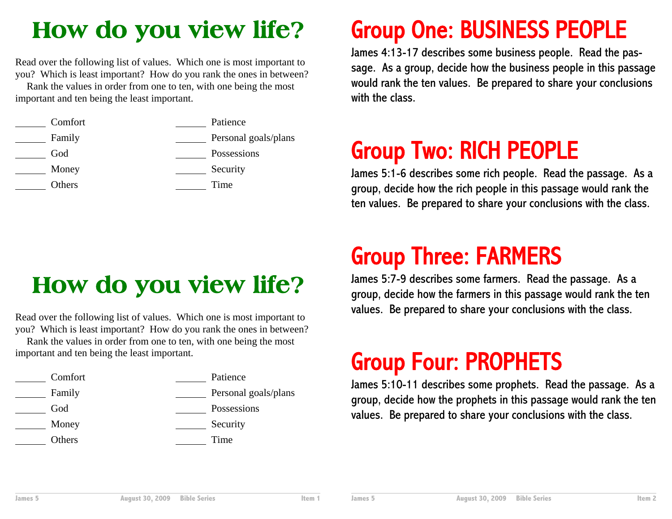### **How do you view life?**

Read over the following list of values. Which one is most important to you? Which is least important? How do you rank the ones in between?

Rank the values in order from one to ten, with one being the most important and ten being the least important.



### **How do you view life?**

Read over the following list of values. Which one is most important to you? Which is least important? How do you rank the ones in between?

Rank the values in order from one to ten, with one being the most important and ten being the least important.

| Comfort | Patience             |
|---------|----------------------|
| Family  | Personal goals/plans |
| God     | Possessions          |
| Money   | Security             |
| Others  | Time                 |

## Group One: BUSINESS PEOPLE

James 4:13-17 describes some business people. Read the passage. As a group, decide how the business people in this passage would rank the ten values. Be prepared to share your conclusions with the class.

## Group Two: RICH PEOPLE

James 5:1-6 describes some rich people. Read the passage. As a group, decide how the rich people in this passage would rank the ten values. Be prepared to share your conclusions with the class.

### Group Three: FARMERS

James 5:7-9 describes some farmers. Read the passage. As a group, decide how the farmers in this passage would rank the ten values. Be prepared to share your conclusions with the class.

### Group Four: PROPHETS

James 5:10-11 describes some prophets. Read the passage. As a group, decide how the prophets in this passage would rank the ten values. Be prepared to share your conclusions with the class.